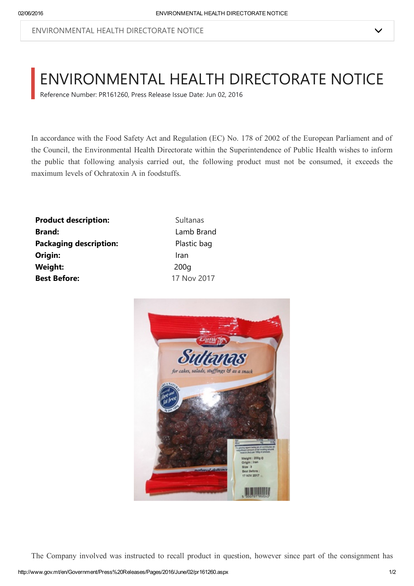## ENVIRONMENTAL HEALTH DIRECTORATE NOTICE

Reference Number: PR161260, Press Release Issue Date: Jun 02, 2016

In accordance with the Food Safety Act and Regulation (EC) No. 178 of 2002 of the European Parliament and of the Council, the Environmental Health Directorate within the Superintendence of Public Health wishes to inform the public that following analysis carried out, the following product must not be consumed, it exceeds the maximum levels of Ochratoxin A in foodstuffs.

**Product description:** Sultanas **Brand:** Lamb Brand Packaging description: Plastic bag **Origin:** Iran Weight: 200g Best Before: 17 Nov 2017



The Company involved was instructed to recall product in question, however since part of the consignment has